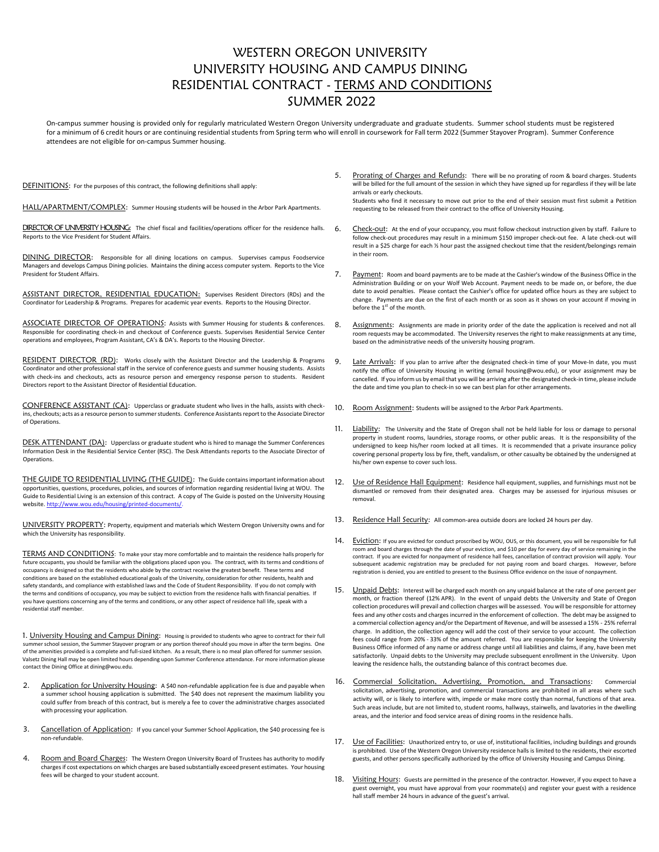## WESTERN OREGON UNIVERSITY UNIVERSITY HOUSING AND CAMPUS DINING RESIDENTIAL CONTRACT - TERMS AND CONDITIONS SUMMER 2022

On-campus summer housing is provided only for regularly matriculated Western Oregon University undergraduate and graduate students. Summer school students must be registered for a minimum of 6 credit hours or are continuing residential students from Spring term who will enroll in coursework for Fall term 2022 (Summer Stayover Program). Summer Conference attendees are not eligible for on-campus Summer housing.

DEFINITIONS: For the purposes of this contract, the following definitions shall apply:

HALL/APARTMENT/COMPLEX: Summer Housing students will be housed in the Arbor Park Apartments.

DIRECTOR OF UNIVERSITY HOUSING: The chief fiscal and facilities/operations officer for the residence halls. Reports to the Vice President for Student Affairs.

DINING DIRECTOR: Responsible for all dining locations on campus. Supervises campus Foodservice Managers and develops Campus Dining policies. Maintains the dining access computer system. Reports to the Vice President for Student Affairs.

ASSISTANT DIRECTOR, RESIDENTIAL EDUCATION: Supervises Resident Directors (RDs) and the Coordinator for Leadership & Programs. Prepares for academic year events. Reports to the Housing Director.

ASSOCIATE DIRECTOR OF OPERATIONS: Assists with Summer Housing for students & conferences. Responsible for coordinating check-in and checkout of Conference guests. Supervises Residential Service Center operations and employees, Program Assistant, CA's & DA's. Reports to the Housing Director.

RESIDENT DIRECTOR (RD): Works closely with the Assistant Director and the Leadership & Programs Coordinator and other professional staff in the service of conference guests and summer housing students. Assists with check-ins and checkouts, acts as resource person and emergency response person to students. Resident Directors report to the Assistant Director of Residential Education.

CONFERENCE ASSISTANT (CA): Upperclass or graduate student who lives in the halls, assists with checkins, checkouts; acts as a resource person to summer students. Conference Assistants report to the Associate Director of Operations.

DESK ATTENDANT (DA): Upperclass or graduate student who is hired to manage the Summer Conferences Information Desk in the Residential Service Center (RSC). The Desk Attendants reports to the Associate Director of **Operations** 

THE GUIDE TO RESIDENTIAL LIVING (THE GUIDE): The Guide contains important information about opportunities, questions, procedures, policies, and sources of information regarding residential living at WOU. The Guide to Residential Living is an extension of this contract. A copy of The Guide is posted on the University Housing website[. http://www.wou.edu/housing/printed-documents/.](http://www.wou.edu/housing/printed-documents/)

UNIVERSITY PROPERTY: Property, equipment and materials which Western Oregon University owns and for which the University has responsibility.

TERMS AND CONDITIONS: To make your stay more comfortable and to maintain the residence halls properly for future occupants, you should be familiar with the obligations placed upon you. The contract, with its terms and conditions of occupancy is designed so that the residents who abide by the contract receive the greatest benefit. These terms and conditions are based on the established educational goals of the University, consideration for other residents, health and safety standards, and compliance with established laws and the Code of Student Responsibility. If you do not comply with the terms and conditions of occupancy, you may be subject to eviction from the residence halls with financial penalties. If you have questions concerning any of the terms and conditions, or any other aspect of residence hall life, speak with a residential staff member.

1. University Housing and Campus Dining: Housing is provided to students who agree to contract for their full summer school session, the Summer Stayover program or any portion thereof should you move in after the term begins. One of the amenities provided is a complete and full-sized kitchen. As a result, there is no meal plan offered for summer session. Valsetz Dining Hall may be open limited hours depending upon Summer Conference attendance. For more information please contact the Dining Office at dining@wou.edu.

- 2. Application for University Housing: A \$40 non-refundable application fee is due and payable when a summer school housing application is submitted. The \$40 does not represent the maximum liability you could suffer from breach of this contract, but is merely a fee to cover the administrative charges associated with processing your application.
- 3. Cancellation of Application: If you cancel your Summer School Application, the \$40 processing fee is non-refundable.
- 4. Room and Board Charges: The Western Oregon University Board of Trustees has authority to modify charges if cost expectations on which charges are based substantially exceed present estimates. Your housing fees will be charged to your student account.

Prorating of Charges and Refunds: There will be no prorating of room & board charges. Students will be billed for the full amount of the session in which they have signed up for regardless if they will be late arrivals or early checkouts.

Students who find it necessary to move out prior to the end of their session must first submit a Petition requesting to be released from their contract to the office of University Housing.

- 6. Check-out: At the end of your occupancy, you must follow checkout instruction given by staff. Failure to follow check-out procedures may result in a minimum \$150 improper check-out fee. A late check-out will result in a \$25 charge for each ½ hour past the assigned checkout time that the resident/belongings remain in their room.
- 7. Payment: Room and board payments are to be made at the Cashier's window of the Business Office in the Administration Building or on your Wolf Web Account. Payment needs to be made on, or before, the due date to avoid penalties. Please contact the Cashier's office for updated office hours as they are subject to change. Payments are due on the first of each month or as soon as it shows on your account if moving in before the 1<sup>st</sup> of the month.
- 8. Assignments: Assignments are made in priority order of the date the application is received and not all room requests may be accommodated. The University reserves the right to make reassignments at any time, based on the administrative needs of the university housing program.
- 9. Late Arrivals: If you plan to arrive after the designated check-in time of your Move-In date, you must notify the office of University Housing in writing (email housing@wou.edu), or your assignment may be cancelled. If you inform us by email that you will be arriving after the designated check-in time, please include the date and time you plan to check-in so we can best plan for other arrangements.
- 10. Room Assignment: Students will be assigned to the Arbor Park Apartments.
- 11. Liability: The University and the State of Oregon shall not be held liable for loss or damage to personal property in student rooms, laundries, storage rooms, or other public areas. It is the responsibility of the undersigned to keep his/her room locked at all times. It is recommended that a private insurance policy covering personal property loss by fire, theft, vandalism, or other casualty be obtained by the undersigned at his/her own expense to cover such loss.
- 12. Use of Residence Hall Equipment: Residence hall equipment, supplies, and furnishings must not be dismantled or removed from their designated area. Charges may be assessed for injurious misuses or removal.
- 13. Residence Hall Security: All common-area outside doors are locked 24 hours per day.
- 14. Eviction: If you are evicted for conduct proscribed by WOU, OUS, or this document, you will be responsible for full room and board charges through the date of your eviction, and \$10 per day for every day of service remaining in the contract. If you are evicted for nonpayment of residence hall fees, cancellation of contract provision will apply. Your subsequent academic registration may be precluded for not paying room and board charges. However, before registration is denied, you are entitled to present to the Business Office evidence on the issue of nonpayment.
- 15. Unpaid Debts: Interest will be charged each month on any unpaid balance at the rate of one percent per month, or fraction thereof (12% APR). In the event of unpaid debts the University and State of Oregon collection procedures will prevail and collection charges will be assessed. You will be responsible for attorney fees and any other costs and charges incurred in the enforcement of collection. The debt may be assigned to a commercial collection agency and/or the Department of Revenue, and will be assessed a 15% - 25% referral charge. In addition, the collection agency will add the cost of their service to your account. The collection fees could range from 20% - 33% of the amount referred. You are responsible for keeping the University Business Office informed of any name or address change until all liabilities and claims, if any, have been met satisfactorily. Unpaid debts to the University may preclude subsequent enrollment in the University. Upon leaving the residence halls, the outstanding balance of this contract becomes due.
- 16. Commercial Solicitation, Advertising, Promotion, and Transactions: Commercial solicitation, advertising, promotion, and commercial transactions are prohibited in all areas where such activity will, or is likely to interfere with, impede or make more costly than normal, functions of that area. Such areas include, but are not limited to, student rooms, hallways, stairwells, and lavatories in the dwelling areas, and the interior and food service areas of dining rooms in the residence halls.
- 17. Use of Facilities: Unauthorized entry to, or use of, institutional facilities, including buildings and grounds is prohibited. Use of the Western Oregon University residence halls is limited to the residents, their escorted guests, and other persons specifically authorized by the office of University Housing and Campus Dining.
- 18. Visiting Hours: Guests are permitted in the presence of the contractor. However, if you expect to have a guest overnight, you must have approval from your roommate(s) and register your guest with a residence hall staff member 24 hours in advance of the guest's arrival.